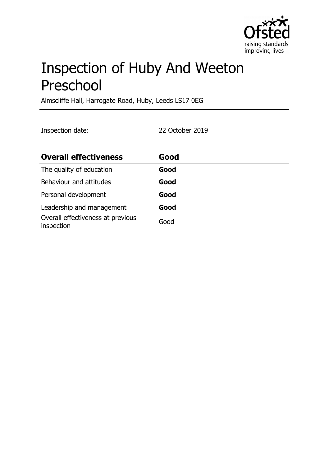

# Inspection of Huby And Weeton Preschool

Almscliffe Hall, Harrogate Road, Huby, Leeds LS17 0EG

Inspection date: 22 October 2019

| <b>Overall effectiveness</b>                    | Good |
|-------------------------------------------------|------|
| The quality of education                        | Good |
| Behaviour and attitudes                         | Good |
| Personal development                            | Good |
| Leadership and management                       | Good |
| Overall effectiveness at previous<br>inspection | Good |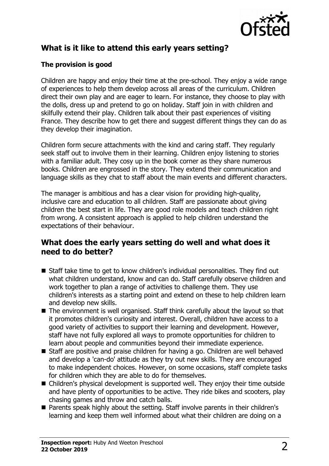

## **What is it like to attend this early years setting?**

### **The provision is good**

Children are happy and enjoy their time at the pre-school. They enjoy a wide range of experiences to help them develop across all areas of the curriculum. Children direct their own play and are eager to learn. For instance, they choose to play with the dolls, dress up and pretend to go on holiday. Staff join in with children and skilfully extend their play. Children talk about their past experiences of visiting France. They describe how to get there and suggest different things they can do as they develop their imagination.

Children form secure attachments with the kind and caring staff. They regularly seek staff out to involve them in their learning. Children enjoy listening to stories with a familiar adult. They cosy up in the book corner as they share numerous books. Children are engrossed in the story. They extend their communication and language skills as they chat to staff about the main events and different characters.

The manager is ambitious and has a clear vision for providing high-quality, inclusive care and education to all children. Staff are passionate about giving children the best start in life. They are good role models and teach children right from wrong. A consistent approach is applied to help children understand the expectations of their behaviour.

## **What does the early years setting do well and what does it need to do better?**

- $\blacksquare$  Staff take time to get to know children's individual personalities. They find out what children understand, know and can do. Staff carefully observe children and work together to plan a range of activities to challenge them. They use children's interests as a starting point and extend on these to help children learn and develop new skills.
- $\blacksquare$  The environment is well organised. Staff think carefully about the layout so that it promotes children's curiosity and interest. Overall, children have access to a good variety of activities to support their learning and development. However, staff have not fully explored all ways to promote opportunities for children to learn about people and communities beyond their immediate experience.
- Staff are positive and praise children for having a go. Children are well behaved and develop a 'can-do' attitude as they try out new skills. They are encouraged to make independent choices. However, on some occasions, staff complete tasks for children which they are able to do for themselves.
- Children's physical development is supported well. They enjoy their time outside and have plenty of opportunities to be active. They ride bikes and scooters, play chasing games and throw and catch balls.
- Parents speak highly about the setting. Staff involve parents in their children's learning and keep them well informed about what their children are doing on a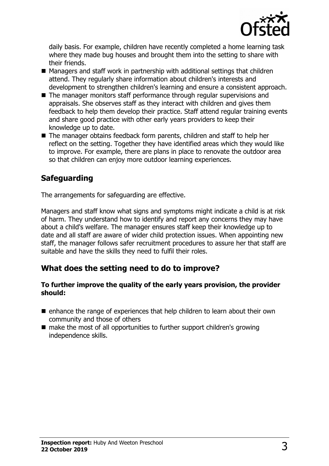

daily basis. For example, children have recently completed a home learning task where they made bug houses and brought them into the setting to share with their friends.

- $\blacksquare$  Managers and staff work in partnership with additional settings that children attend. They regularly share information about children's interests and development to strengthen children's learning and ensure a consistent approach.
- $\blacksquare$  The manager monitors staff performance through regular supervisions and appraisals. She observes staff as they interact with children and gives them feedback to help them develop their practice. Staff attend regular training events and share good practice with other early years providers to keep their knowledge up to date.
- The manager obtains feedback form parents, children and staff to help her reflect on the setting. Together they have identified areas which they would like to improve. For example, there are plans in place to renovate the outdoor area so that children can enjoy more outdoor learning experiences.

## **Safeguarding**

The arrangements for safeguarding are effective.

Managers and staff know what signs and symptoms might indicate a child is at risk of harm. They understand how to identify and report any concerns they may have about a child's welfare. The manager ensures staff keep their knowledge up to date and all staff are aware of wider child protection issues. When appointing new staff, the manager follows safer recruitment procedures to assure her that staff are suitable and have the skills they need to fulfil their roles.

## **What does the setting need to do to improve?**

#### **To further improve the quality of the early years provision, the provider should:**

- $\blacksquare$  enhance the range of experiences that help children to learn about their own community and those of others
- $\blacksquare$  make the most of all opportunities to further support children's growing independence skills.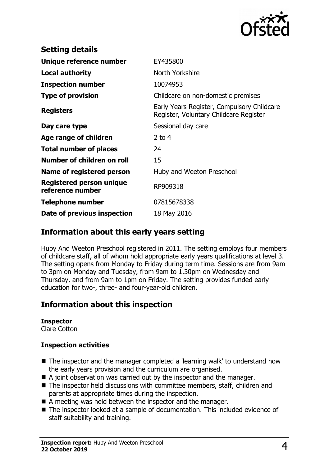

| EY435800                                                                             |
|--------------------------------------------------------------------------------------|
| North Yorkshire                                                                      |
| 10074953                                                                             |
| Childcare on non-domestic premises                                                   |
| Early Years Register, Compulsory Childcare<br>Register, Voluntary Childcare Register |
| Sessional day care                                                                   |
| 2 to $4$                                                                             |
| 24                                                                                   |
| 15                                                                                   |
| Huby and Weeton Preschool                                                            |
| RP909318                                                                             |
| 07815678338                                                                          |
| 18 May 2016                                                                          |
|                                                                                      |

## **Information about this early years setting**

Huby And Weeton Preschool registered in 2011. The setting employs four members of childcare staff, all of whom hold appropriate early years qualifications at level 3. The setting opens from Monday to Friday during term time. Sessions are from 9am to 3pm on Monday and Tuesday, from 9am to 1.30pm on Wednesday and Thursday, and from 9am to 1pm on Friday. The setting provides funded early education for two-, three- and four-year-old children.

## **Information about this inspection**

#### **Inspector**

Clare Cotton

#### **Inspection activities**

- $\blacksquare$  The inspector and the manager completed a 'learning walk' to understand how the early years provision and the curriculum are organised.
- $\blacksquare$  A joint observation was carried out by the inspector and the manager.
- $\blacksquare$  The inspector held discussions with committee members, staff, children and parents at appropriate times during the inspection.
- $\blacksquare$  A meeting was held between the inspector and the manager.
- The inspector looked at a sample of documentation. This included evidence of staff suitability and training.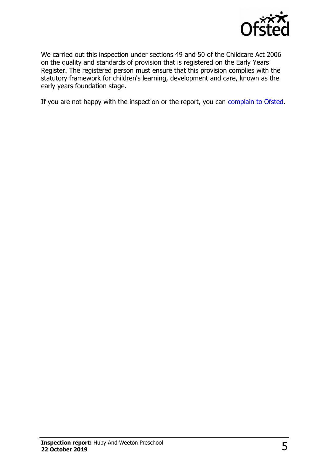

We carried out this inspection under sections 49 and 50 of the Childcare Act 2006 on the quality and standards of provision that is registered on the Early Years Register. The registered person must ensure that this provision complies with the statutory framework for children's learning, development and care, known as the early years foundation stage.

If you are not happy with the inspection or the report, you can [complain to Ofsted.](http://www.gov.uk/complain-ofsted-report)